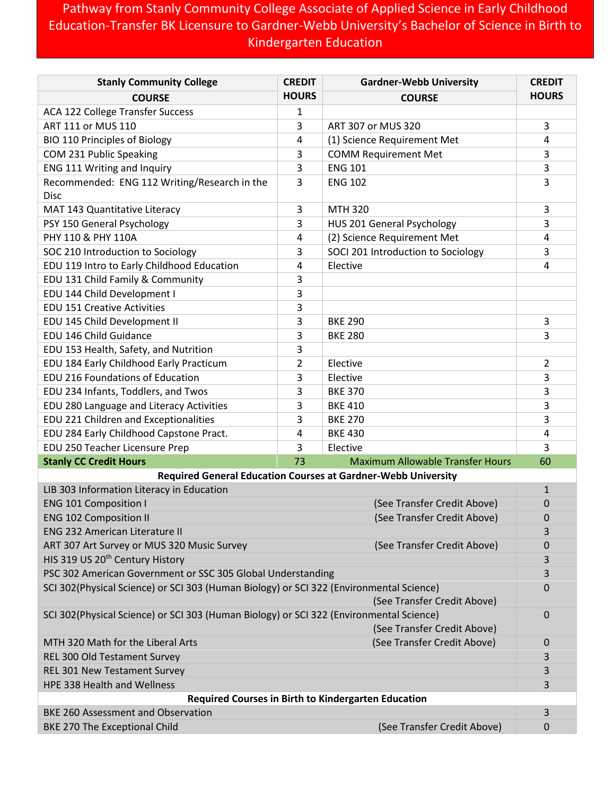## Pathway from Stanly Community College Associate of Applied Science in Early Childhood Education-Transfer BK Licensure to Gardner-Webb University's Bachelor of Science in Birth to Kindergarten Education

| <b>Stanly Community College</b>                                                                                        | <b>CREDIT</b> | <b>Gardner-Webb University</b>          | <b>CREDIT</b>  |  |
|------------------------------------------------------------------------------------------------------------------------|---------------|-----------------------------------------|----------------|--|
| <b>COURSE</b>                                                                                                          | <b>HOURS</b>  | <b>COURSE</b>                           | <b>HOURS</b>   |  |
| ACA 122 College Transfer Success                                                                                       | 1             |                                         |                |  |
| ART 111 or MUS 110                                                                                                     | 3             | ART 307 or MUS 320                      | 3              |  |
| <b>BIO 110 Principles of Biology</b>                                                                                   | 4             | (1) Science Requirement Met             | 4              |  |
| COM 231 Public Speaking                                                                                                | 3             | <b>COMM Requirement Met</b>             | 3              |  |
| ENG 111 Writing and Inquiry                                                                                            | 3             | <b>ENG 101</b>                          | 3              |  |
| Recommended: ENG 112 Writing/Research in the                                                                           | 3             | <b>ENG 102</b>                          | 3              |  |
| <b>Disc</b>                                                                                                            |               |                                         |                |  |
| MAT 143 Quantitative Literacy                                                                                          | 3             | <b>MTH 320</b>                          | 3              |  |
| PSY 150 General Psychology                                                                                             | 3             | HUS 201 General Psychology              | 3              |  |
| PHY 110 & PHY 110A                                                                                                     | 4             | (2) Science Requirement Met             | 4              |  |
| SOC 210 Introduction to Sociology                                                                                      | 3             | SOCI 201 Introduction to Sociology      | 3              |  |
| EDU 119 Intro to Early Childhood Education                                                                             | 4             | Elective                                | 4              |  |
| EDU 131 Child Family & Community                                                                                       | 3             |                                         |                |  |
| EDU 144 Child Development I                                                                                            | 3             |                                         |                |  |
| <b>EDU 151 Creative Activities</b>                                                                                     | 3             |                                         |                |  |
| EDU 145 Child Development II                                                                                           | 3             | <b>BKE 290</b>                          | 3              |  |
| EDU 146 Child Guidance                                                                                                 | 3             | <b>BKE 280</b>                          | 3              |  |
| EDU 153 Health, Safety, and Nutrition                                                                                  | 3             |                                         |                |  |
| EDU 184 Early Childhood Early Practicum                                                                                | 2             | Elective                                | $\overline{2}$ |  |
| EDU 216 Foundations of Education                                                                                       | 3             | Elective                                | 3              |  |
| EDU 234 Infants, Toddlers, and Twos                                                                                    | 3             | <b>BKE 370</b>                          | 3              |  |
| EDU 280 Language and Literacy Activities                                                                               | 3             | <b>BKE 410</b>                          | 3              |  |
| EDU 221 Children and Exceptionalities                                                                                  | 3             | <b>BKE 270</b>                          | 3              |  |
| EDU 284 Early Childhood Capstone Pract.                                                                                | 4             | <b>BKE 430</b>                          | 4              |  |
| EDU 250 Teacher Licensure Prep                                                                                         | 3             | Elective                                | 3              |  |
| <b>Stanly CC Credit Hours</b>                                                                                          | 73            | <b>Maximum Allowable Transfer Hours</b> | 60             |  |
| <b>Required General Education Courses at Gardner-Webb University</b>                                                   |               |                                         |                |  |
| LIB 303 Information Literacy in Education                                                                              |               |                                         | $\mathbf{1}$   |  |
| <b>ENG 101 Composition I</b>                                                                                           |               | (See Transfer Credit Above)             | 0              |  |
| <b>ENG 102 Composition II</b>                                                                                          |               | (See Transfer Credit Above)             | 0              |  |
| <b>ENG 232 American Literature II</b>                                                                                  |               |                                         | 3              |  |
| ART 307 Art Survey or MUS 320 Music Survey                                                                             |               | (See Transfer Credit Above)             | 0              |  |
| HIS 319 US 20 <sup>th</sup> Century History                                                                            |               |                                         | 3              |  |
| PSC 302 American Government or SSC 305 Global Understanding                                                            |               |                                         | 3              |  |
| SCI 302(Physical Science) or SCI 303 (Human Biology) or SCI 322 (Environmental Science)<br>(See Transfer Credit Above) |               |                                         | 0              |  |
| SCI 302(Physical Science) or SCI 303 (Human Biology) or SCI 322 (Environmental Science)<br>(See Transfer Credit Above) |               |                                         | 0              |  |
| MTH 320 Math for the Liberal Arts                                                                                      |               | (See Transfer Credit Above)             | 0              |  |
| REL 300 Old Testament Survey                                                                                           |               |                                         | 3              |  |
| REL 301 New Testament Survey                                                                                           |               |                                         | 3              |  |
| HPE 338 Health and Wellness                                                                                            |               |                                         | 3              |  |
| Required Courses in Birth to Kindergarten Education                                                                    |               |                                         |                |  |
| <b>BKE 260 Assessment and Observation</b>                                                                              |               |                                         | 3              |  |
| BKE 270 The Exceptional Child                                                                                          |               | (See Transfer Credit Above)             | 0              |  |
|                                                                                                                        |               |                                         |                |  |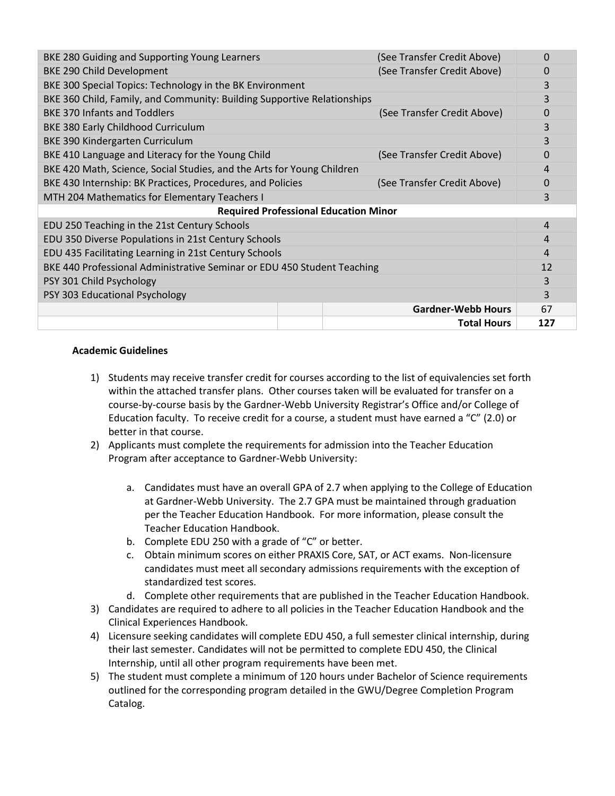| BKE 280 Guiding and Supporting Young Learners                           |  | (See Transfer Credit Above) | 0              |  |
|-------------------------------------------------------------------------|--|-----------------------------|----------------|--|
| BKE 290 Child Development                                               |  | (See Transfer Credit Above) | 0              |  |
| BKE 300 Special Topics: Technology in the BK Environment                |  |                             | 3              |  |
| BKE 360 Child, Family, and Community: Building Supportive Relationships |  |                             | 3              |  |
| <b>BKE 370 Infants and Toddlers</b>                                     |  | (See Transfer Credit Above) | 0              |  |
| BKE 380 Early Childhood Curriculum                                      |  |                             | 3              |  |
| BKE 390 Kindergarten Curriculum                                         |  |                             | 3              |  |
| BKE 410 Language and Literacy for the Young Child                       |  | (See Transfer Credit Above) | $\mathbf 0$    |  |
| BKE 420 Math, Science, Social Studies, and the Arts for Young Children  |  |                             | 4              |  |
| BKE 430 Internship: BK Practices, Procedures, and Policies              |  | (See Transfer Credit Above) | 0              |  |
| MTH 204 Mathematics for Elementary Teachers I                           |  |                             | 3              |  |
| <b>Required Professional Education Minor</b>                            |  |                             |                |  |
| EDU 250 Teaching in the 21st Century Schools                            |  |                             | 4              |  |
| EDU 350 Diverse Populations in 21st Century Schools                     |  |                             | $\overline{4}$ |  |
| EDU 435 Facilitating Learning in 21st Century Schools                   |  |                             | $\overline{4}$ |  |
| BKE 440 Professional Administrative Seminar or EDU 450 Student Teaching |  |                             | 12             |  |
| PSY 301 Child Psychology                                                |  |                             | 3              |  |
| PSY 303 Educational Psychology                                          |  |                             | 3              |  |
|                                                                         |  | <b>Gardner-Webb Hours</b>   | 67             |  |
|                                                                         |  | <b>Total Hours</b>          | 127            |  |

## **Academic Guidelines**

- 1) Students may receive transfer credit for courses according to the list of equivalencies set forth within the attached transfer plans. Other courses taken will be evaluated for transfer on a course-by-course basis by the Gardner-Webb University Registrar's Office and/or College of Education faculty. To receive credit for a course, a student must have earned a "C" (2.0) or better in that course.
- 2) Applicants must complete the requirements for admission into the Teacher Education Program after acceptance to Gardner-Webb University:
	- a. Candidates must have an overall GPA of 2.7 when applying to the College of Education at Gardner-Webb University. The 2.7 GPA must be maintained through graduation per the Teacher Education Handbook. For more information, please consult the Teacher Education Handbook.
	- b. Complete EDU 250 with a grade of "C" or better.
	- c. Obtain minimum scores on either PRAXIS Core, SAT, or ACT exams. Non-licensure candidates must meet all secondary admissions requirements with the exception of standardized test scores.
	- d. Complete other requirements that are published in the Teacher Education Handbook.
- 3) Candidates are required to adhere to all policies in the Teacher Education Handbook and the Clinical Experiences Handbook.
- 4) Licensure seeking candidates will complete EDU 450, a full semester clinical internship, during their last semester. Candidates will not be permitted to complete EDU 450, the Clinical Internship, until all other program requirements have been met.
- 5) The student must complete a minimum of 120 hours under Bachelor of Science requirements outlined for the corresponding program detailed in the GWU/Degree Completion Program Catalog.